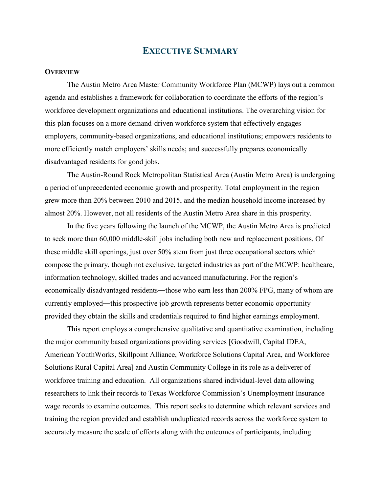# **EXECUTIVE SUMMARY**

#### **OVERVIEW**

The Austin Metro Area Master Community Workforce Plan (MCWP) lays out a common agenda and establishes a framework for collaboration to coordinate the efforts of the region's workforce development organizations and educational institutions. The overarching vision for this plan focuses on a more demand-driven workforce system that effectively engages employers, community-based organizations, and educational institutions; empowers residents to more efficiently match employers' skills needs; and successfully prepares economically disadvantaged residents for good jobs.

The Austin-Round Rock Metropolitan Statistical Area (Austin Metro Area) is undergoing a period of unprecedented economic growth and prosperity. Total employment in the region grew more than 20% between 2010 and 2015, and the median household income increased by almost 20%. However, not all residents of the Austin Metro Area share in this prosperity.

In the five years following the launch of the MCWP, the Austin Metro Area is predicted to seek more than 60,000 middle-skill jobs including both new and replacement positions. Of these middle skill openings, just over 50% stem from just three occupational sectors which compose the primary, though not exclusive, targeted industries as part of the MCWP: healthcare, information technology, skilled trades and advanced manufacturing. For the region's economically disadvantaged residents—those who earn less than 200% FPG, many of whom are currently employed—this prospective job growth represents better economic opportunity provided they obtain the skills and credentials required to find higher earnings employment.

This report employs a comprehensive qualitative and quantitative examination, including the major community based organizations providing services [Goodwill, Capital IDEA, American YouthWorks, Skillpoint Alliance, Workforce Solutions Capital Area, and Workforce Solutions Rural Capital Area] and Austin Community College in its role as a deliverer of workforce training and education. All organizations shared individual-level data allowing researchers to link their records to Texas Workforce Commission's Unemployment Insurance wage records to examine outcomes. This report seeks to determine which relevant services and training the region provided and establish unduplicated records across the workforce system to accurately measure the scale of efforts along with the outcomes of participants, including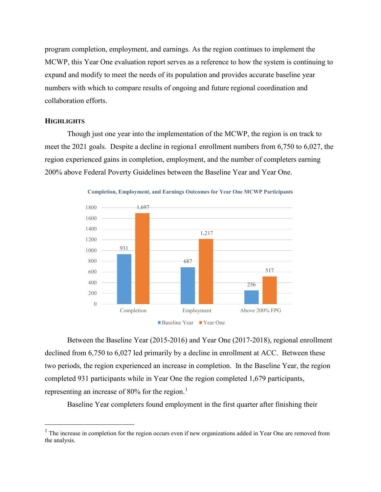program completion, employment, and earnings. As the region continues to implement the MCWP, this Year One evaluation report serves as a reference to how the system is continuing to expand and modify to meet the needs of its population and provides accurate baseline year numbers with which to compare results of ongoing and future regional coordination and collaboration efforts.

### **HIGHLIGHTS**

Though just one year into the implementation of the MCWP, the region is on track to meet the 2021 goals. Despite a decline in regiona1 enrollment numbers from 6,750 to 6,027, the region experienced gains in completion, employment, and the number of completers earning 200% above Federal Poverty Guidelines between the Baseline Year and Year One.





Between the Baseline Year (2015-2016) and Year One (2017-2018), regional enrollment declined from 6,750 to 6,027 led primarily by a decline in enrollment at ACC. Between these two periods, the region experienced an increase in completion. In the Baseline Year, the region completed 931 participants while in Year One the region completed 1,679 participants, representing an increase of 80% for the region.<sup>[1](#page-1-0)</sup>

Baseline Year completers found employment in the first quarter after finishing their

<span id="page-1-0"></span> $<sup>1</sup>$  The increase in completion for the region occurs even if new organizations added in Year One are removed from</sup> the analysis.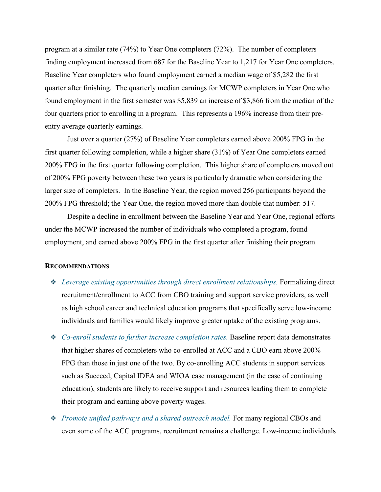program at a similar rate (74%) to Year One completers (72%). The number of completers finding employment increased from 687 for the Baseline Year to 1,217 for Year One completers. Baseline Year completers who found employment earned a median wage of \$5,282 the first quarter after finishing. The quarterly median earnings for MCWP completers in Year One who found employment in the first semester was \$5,839 an increase of \$3,866 from the median of the four quarters prior to enrolling in a program. This represents a 196% increase from their preentry average quarterly earnings.

Just over a quarter (27%) of Baseline Year completers earned above 200% FPG in the first quarter following completion, while a higher share (31%) of Year One completers earned 200% FPG in the first quarter following completion. This higher share of completers moved out of 200% FPG poverty between these two years is particularly dramatic when considering the larger size of completers. In the Baseline Year, the region moved 256 participants beyond the 200% FPG threshold; the Year One, the region moved more than double that number: 517.

Despite a decline in enrollment between the Baseline Year and Year One, regional efforts under the MCWP increased the number of individuals who completed a program, found employment, and earned above 200% FPG in the first quarter after finishing their program.

## **RECOMMENDATIONS**

- *Leverage existing opportunities through direct enrollment relationships.* Formalizing direct recruitment/enrollment to ACC from CBO training and support service providers, as well as high school career and technical education programs that specifically serve low-income individuals and families would likely improve greater uptake of the existing programs.
- *Co-enroll students to further increase completion rates.* Baseline report data demonstrates that higher shares of completers who co-enrolled at ACC and a CBO earn above 200% FPG than those in just one of the two. By co-enrolling ACC students in support services such as Succeed, Capital IDEA and WIOA case management (in the case of continuing education), students are likely to receive support and resources leading them to complete their program and earning above poverty wages.
- *Promote unified pathways and a shared outreach model.* For many regional CBOs and even some of the ACC programs, recruitment remains a challenge. Low-income individuals